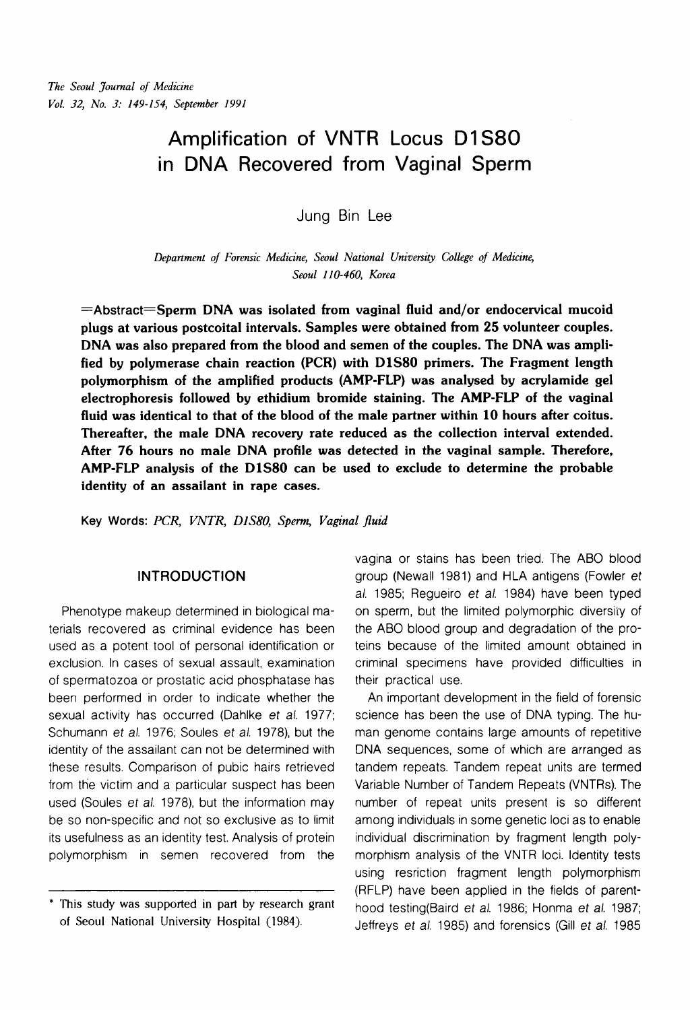# Amplification of VNTR Locus D1S80 in DNA Recovered from Vaginal Sperm

Jung Bin Lee

*Depanment of Forensic Medicine, Seoul National University College of Medicine, Seoul 1 10-460, Korea* 

 $=$ Abstract $=$ Sperm DNA was isolated from vaginal fluid and/or endocervical mucoid plugs at various postcoital intervals. Samples were obtained from 25 volunteer couples. DNA was also prepared from the blood and semen of the couples. The DNA was amplified by polymerase chain reaction (PCR) with DlS8O primers. The Fragment length polymorphism of the amplified products (AMP-FLP) was analysed by acrylamide gel electrophoresis followed by ethidium bromide staining. The AMP-FLP of the vaginal fluid was identical to that of the blood of the male partner within 10 hours after coitus. Thereafter, the male DNA recovery rate reduced as the collection interval extended. After 76 hours no male DNA profile was detected in the vaginal sample. Therefore, AMP-FLP analysis of the DlS8O can be used to exclude to determine the probable identity of an assailant in rape cases.

**Key Words:** *PCR, VNTR, DlS80, Sperm, Vaginal* **fluid** 

#### INTRODUCTION

Phenotype makeup determined in biological materials recovered as criminal evidence has been used as a potent tool of personal identification or exclusion. In cases of sexual assault, examination of spermatozoa or prostatic acid phosphatase has been performed in order to indicate whether the sexual activity has occurred (Dahlke et al. 1977; Schumann et al. 1976; Soules et al. 1978), but the identity of the assailant can not be determined with these results. Comparison of pubic hairs retrieved from the victim and a particular suspect has been used (Soules et al. 1978), but the information may be so non-specific and not so exclusive as to limit its usefulness as an identity test. Analysis of protein polymorphism in semen recovered from the

vagina or stains has been tried. The ABO blood group (Newall 1981) and HLA antigens (Fowler et al. 1985; Regueiro et al. 1984) have been typed on sperm, but the limited polymorphic diversiiy of the ABO blood group and degradation of the proteins because of the limited amount obtained in criminal specimens have provided difficulties in their practical use.

An important development in the field of forensic science has been the use of DNA typing. The human genome contains large amounts of repetitive DNA sequences, some of which are arranged as tandem repeats. Tandem repeat units are termed Variable Number of Tandem Repeats (VNTRs). The number of repeat units present is so different among individuals in some genetic loci as to enable individual discrimination by fragment length polymorphism analysis of the VNTR loci. Identity tests using resriction fragment length polymorphism (RFLP) have been applied in the fields of parenthood testing(Baird et al. 1986; Honma et al. 1987; Jeffreys et al. 1985) and forensics (Gill et al. 1985

<sup>\*</sup> This study was supported in part by research grant of Seoul National University Hospital (1984).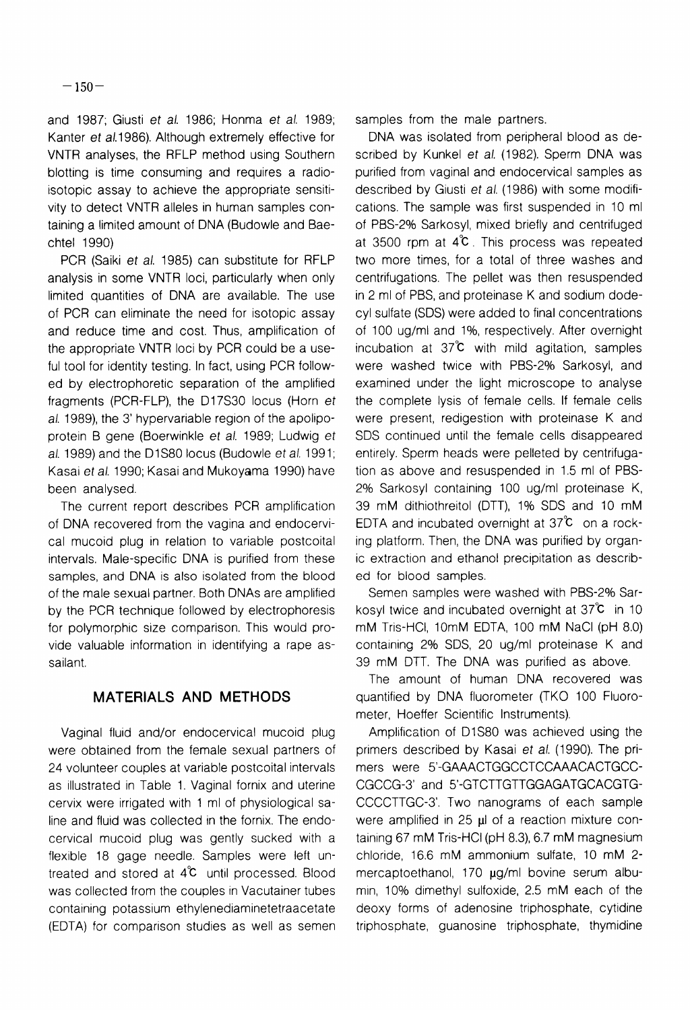and 1987; Giusti et al. 1986; Honma et al. 1989; Kanter et al. 1986). Although extremely effective for VNTR analyses, the RFLP method using Southern blotting is time consuming and requires a radioisotopic assay to achieve the appropriate sensitivity to detect VNTR alleles in human samples containing a limited amount of DNA (Budowle and Baechtel 1990)

PCR (Saiki et al. 1985) can substitute for RFLP analysis in some VNTR loci, particularly when only limited quantities of DNA are available. The use of PCR can eliminate the need for isotopic assay and reduce time and cost. Thus, amplification of the appropriate VNTR loci by PCR could be a useful tool for identity testing. In fact, using PCR followed by electrophoretic separation of the amplified fragments (PCR-FLP), the D17S30 locus (Horn et al. 1989), the 3' hypervariable region of the apolipoprotein B gene (Boerwinkle et al. 1989; Ludwig et al. 1989) and the D1S80 locus (Budowle et al. 1991; Kasai et al. 1990; Kasai and Mukoyama 1990) have been analysed.

The current report describes PCR amplification of DNA recovered from the vagina and endocervical mucoid plug in relation to variable postcoital intervals. Male-specific DNA is purified from these samples, and DNA is also isolated from the blood of the male sexual partner. Both DNAs are amplified by the PCR technique followed by electrophoresis for polymorphic size comparison. This would provide valuable information in identifying a rape assailant.

### **MATERIALS AND METHODS**

Vaginal fluid and/or endocervical mucoid plug were obtained from the female sexual partners of 24 volunteer couples at variable postcoital intervals as illustrated in Table 1. Vaginal fornix and uterine cervix were irrigated with 1 ml of physiological saline and fluid was collected in the fornix. The endocervical mucoid plug was gently sucked with a flexible 18 gage needle. Samples were left untreated and stored at  $4^{\circ}C$  until processed. Blood was collected from the couples in Vacutainer tubes containing potassium ethylenediaminetetraacetate (EDTA) for comparison studies as well as semen samples from the male partners.

DNA was isolated from peripheral blood as described by Kunkel et al. (1982). Sperm DNA was purified from vaginal and endocervical samples as described by Giusti et al. (1986) with some modifications. The sample was first suspended in 10 ml of PBS-2% Sarkosyl, mixed briefly and centrifuged at 3500 rpm at  $4^\circ$ . This process was repeated two more times, for a total of three washes and centrifugations. The pellet was then resuspended in 2 ml of PBS, and proteinase K and sodium dodecyl sulfate (SDS) were added to final concentrations of 100 ug/ml and 1%, respectively. After overnight incubation at  $37^{\circ}$  with mild agitation, samples were washed twice with PBS-2% Sarkosyl, and examined under the light microscope to analyse the complete lysis of female cells. If female cells were present, redigestion with proteinase K and SDS continued until the female cells disappeared entirely. Sperm heads were pelleted by centrifugation as above and resuspended in 1.5 ml of PBS-2% Sarkosyl containing 100 ug/ml proteinase K, 39 mM dithiothreitol (DTT), 1% SDS and 10 mM EDTA and incubated overnight at  $37^{\circ}$  on a rocking platform. Then, the DNA was purified by organic extraction and ethanol precipitation as described for blood samples.

Semen samples were washed with PBS-2% Sarkosyl twice and incubated overnight at  $37^\circ$ C in 10 mM Tris-HCI, 10mM EDTA, 100 mM NaCl (pH 8.0) containing 2% SDS, 20 ug/ml proteinase K and 39 mM DTT. The DNA was purified as above.

The amount of human DNA recovered was quantified by DNA fluorometer (TKO 100 Fluorometer, Hoeffer Scientific Instruments).

Amplification of D1S80 was achieved using the primers described by Kasai et al. (1990). The primers were 5'-GAAACTGGCCTCCAAACACTGCC-CGCCG-3' and 5'-GTCTTGTTGGAGATGCACGTG-CCCCTTGC-3'. Two nanograms of each sample were amplified in 25 µl of a reaction mixture containing 67 mM Tris-HCI (pH 8.3), 6.7 mM magnesium chloride, 16.6 mM ammonium sulfate, 10 mM 2 mercaptoethanol, 170  $\mu$ g/ml bovine serum albumin, 10% dimethyl sulfoxide, 2.5 mM each of the deoxy forms of adenosine triphosphate, cytidine triphosphate, guanosine triphosphate, thymidine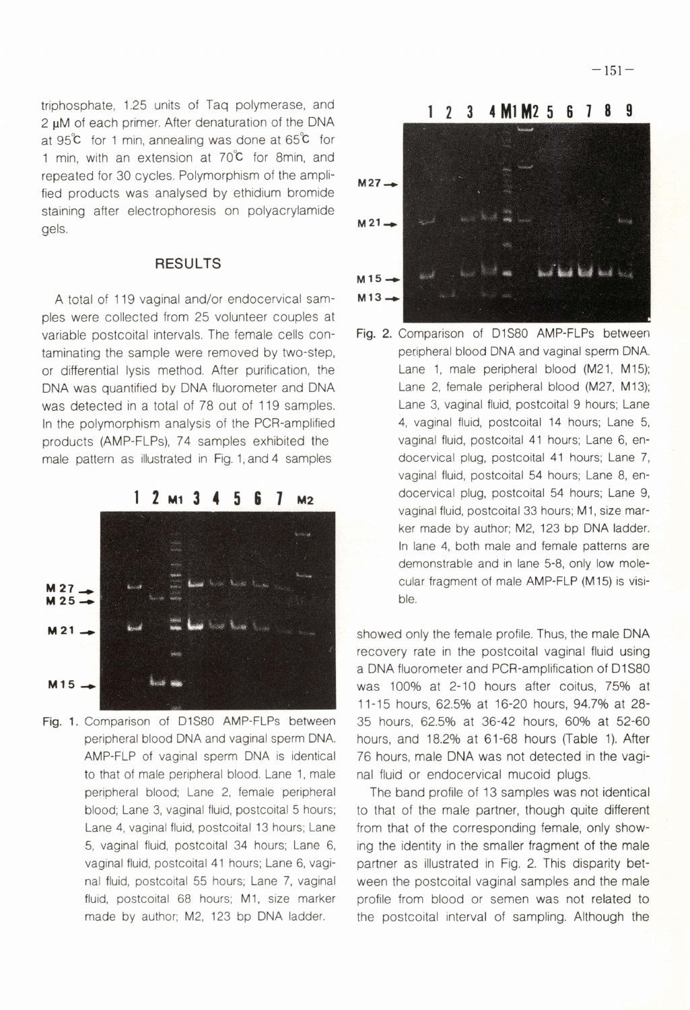triphosphate, 1.25 units of Taq polymerase, and 2 **pM** of each primer. After denaturation of the DNA at **95k** for 1 min, annealing was done at 65°C for 1 min, with an extension at  $70^{\circ}$ C for 8min, and repeated for 30 cycles. Polymorphism of the ampli-<br>**M27- M27** staining after electrophoresis on polyacrylamide gels.

#### **RESULTS**

A total of 119 vaginal and/or endocervical Sam- **M13**  ples were collected from 25 volunteer couples at variable postcoital intervals. The female cells contaminating the sample were removed by two-step, or differential lysis method. After purification, the DNA was quantified by DNA fluorometer and DNA was detected in a total of 78 out of 119 samples. In the polymorphism analysis of the PCR-amplified products (AMP-FLPs), 74 samples exhibited the male pattern as illustrated in Fig. 1, and 4 samples



**Fig.** 1. Comparison of D1S80 AMP-FLPs between peripheral blood DNA and vaginal sperm DNA. AMP-FLP of vaginal sperm DNA is identical to that of male peripheral blood. Lane 1, male peripheral blood; Lane 2, female peripheral blood; Lane 3, vaginal fluid, postcoital 5 hours; Lane **4,** vaginal fluid, postcoital 13 hours; Lane **5,** vaginal fluid, postcoital 34 hours; Lane 6, vaginal fluid, postcoital 41 hours; Lane 6, vaginal fluid, postcoital 55 hours; Lane 7, vaginal fluid, postcoital 68 hours; MI, size marker made by author; M2, 123 bp DNA ladder.



Fig. 2. Comparison of D1S80 AMP-FLPs between peripheral blood DNA and vaginal sperm DNA. Lane 1, male peripheral blood (M21, M15); Lane 2, female peripheral blood (M27, M13); Lane 3, vaginal fluid, postcoital 9 hours; Lane 4, vaginal fluid, postcoital 14 hours; Lane 5, vaginal fluid, postcoital 41 hours; Lane 6, endocervical plug, postcoital 41 hours; Lane 7, vaginal fluid, postcoital 54 hours; Lane 8, endocervical plug, postcoital 54 hours; Lane 9, vaginal fluid, postcoital 33 hours; M1, size marker made by author; M2, 123 bp DNA ladder. In lane 4, both male and female patterns are demonstrable and in lane 5-8, only low molecular fragment of male AMP-FLP (M15) is visible.

showed only the female profile. Thus, the male DNA recovery rate in the postcoital vaginal fluid using a DNA fluorometer and PCR-amplification of D1S80 was 100% at 2-10 hours after coitus, 75% at 11-15 hours, 62.5% at 16-20 hours, 94.7% at 28-35 hours, 62.5% at 36-42 hours, 60% at 52-60 hours, and 18.2% at 61-68 hours (Table 1). After 76 hours, male DNA was not detected in the vaginal fluid or endocervical mucoid plugs.

The band profile of 13 samples was not identical to that of the male partner, though quite different from that of the corresponding female, only showing the identity in the smaller fragment of the male partner as illustrated in Fig. 2. This disparity between the postcoital vaginal samples and the male profile from blood or semen was not related to the postcoital interval of sampling. Although the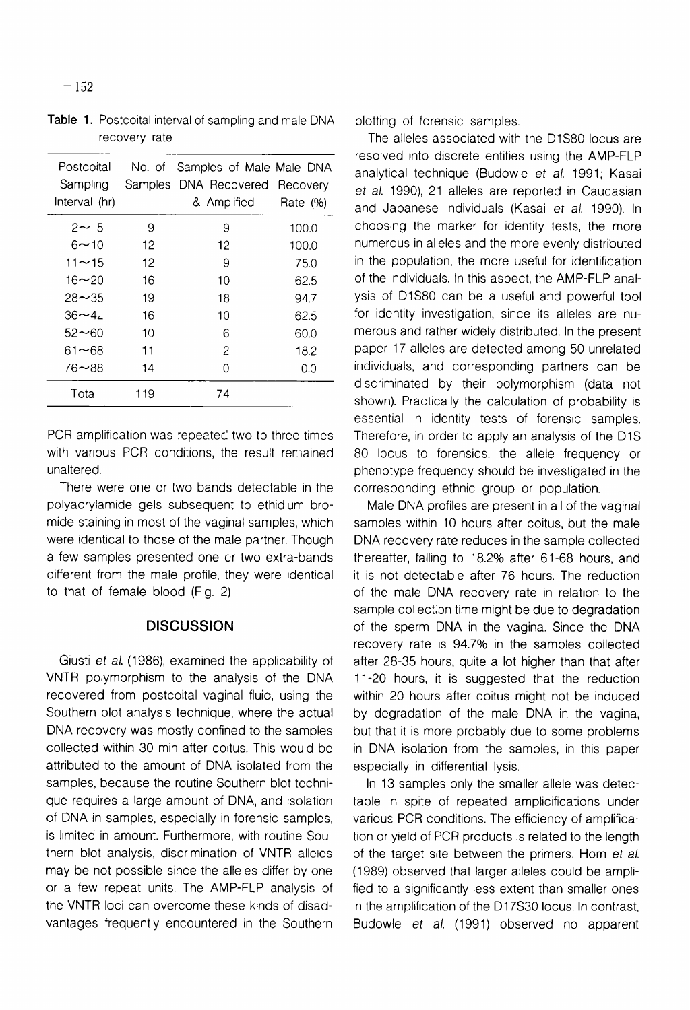| Postcoital<br>Sampling<br>Interval (hr) |     | No. of Samples of Male Male DNA<br>Samples DNA Recovered Recovery<br>& Amplified | Rate $(\%)$ |
|-----------------------------------------|-----|----------------------------------------------------------------------------------|-------------|
|                                         |     |                                                                                  |             |
| $2 \sim 5$                              | 9   | 9                                                                                | 100.0       |
| 6∼10                                    | 12  | 12                                                                               | 100.0       |
| $11 - 15$                               | 12  | 9                                                                                | 75.0        |
| $16 - 20$                               | 16  | 10                                                                               | 62.5        |
| $28 - 35$                               | 19  | 18                                                                               | 94.7        |
| $36 - 4$                                | 16  | 10                                                                               | 62.5        |
| 52~60                                   | 10  | 6                                                                                | 60.0        |
| 61~68                                   | 11  | 2                                                                                | 18.2        |
| 76∼88                                   | 14  | 0                                                                                | 0.0         |
| Total                                   | 119 | 74                                                                               |             |

Table 1. Postcoital interval of sampling and male DNA recovery rate

PCR amplification was repeated two to three times with various PCR conditions, the result remained unaltered.

There were one or two bands detectable in the polyacrylamide gels subsequent to ethidium bromide staining in most of the vaginal samples, which were identical to those of the male partner. Though a few samples presented one cr two extra-bands different from the male profile, they were identical to that of female blood (Fig. 2)

#### **DISCUSSION**

Giusti et al. (1986), examined the applicability of VNTR polymorphism to the analysis of the DNA recovered from postcoital vaginal fluid, using the Southern blot analysis technique, where the actual DNA recovery was mostly confined to the samples collected within 30 min after coitus. This would be attributed to the amount of DNA isolated from the samples, because the routine Southern blot technique requires a large amount of DNA, and isolation of DNA in samples, especially in forensic samples, is limited in amount. Furthermore, with routine Southern blot analysis, discrimination of VNTR alleles may be not possible since the alleles differ by one or a few repeat units. The AMP-FLP analysis of the VNTR loci can overcome these kinds of disadvantages frequently encountered in the Southern blotting of forensic samples.

The alleles associated with the D1S80 locus are resolved into discrete entities using the AMP-FLP analytical technique (Budowle et al. 1991; Kasai et al. 1990), 21 alleles are reported in Caucasian and Japanese individuals (Kasai et al. 1990). In choosing the marker for identity tests, the more numerous in alleles and the more evenly distributed in the population, the more useful for identification of the individuals. In this aspect, the AMP-FLP analysis of D1S80 can be a useful and powerful tool for identity investigation, since its alleles are numerous and rather widely distributed. In the present paper 17 alleles are detected among 50 unrelated individuals, and corresponding partners can be discriminated by their polymorphism (data not shown). Practically the calculation of probability is essential in identity tests of forensic samples. Therefore, in order to apply an analysis of the DIS 80 locus to forensics, the allele frequency or phenotype frequency should be investigated in the corresponding ethnic group or population.

Male DNA profiles are present in all of the vaginal samples within 10 hours after coitus, but the male DNA recovery rate reduces in the sample collected thereafter, falling to 18.2% after 61-68 hours, and it is not detectable after 76 hours. The reduction of the male DNA recovery rate in relation to the sample collection time might be due to degradation of the sperm DNA in the vagina. Since the DNA recovery rate is 94.7% in the samples collected after 28-35 hours, quite a lot higher than that after 11-20 hours, it is suggested that the reduction within 20 hours after coitus might not be induced by degradation of the male DNA in the vagina, but that it is more probably due to some problems in DNA isolation from the samples, in this paper especially in differential lysis.

In 13 samples only the smaller allele was detectable in spite of repeated amplicifications under various PCR conditions. The efficiency of amplification or yield of PCR products is related to the length of the target site between the primers. Horn et a/. (1989) observed that larger alleles could be amplified to a significantly less extent than smaller ones in the amplification of the D17S30 locus. In contrast, Budowle et al. (1991) observed no apparent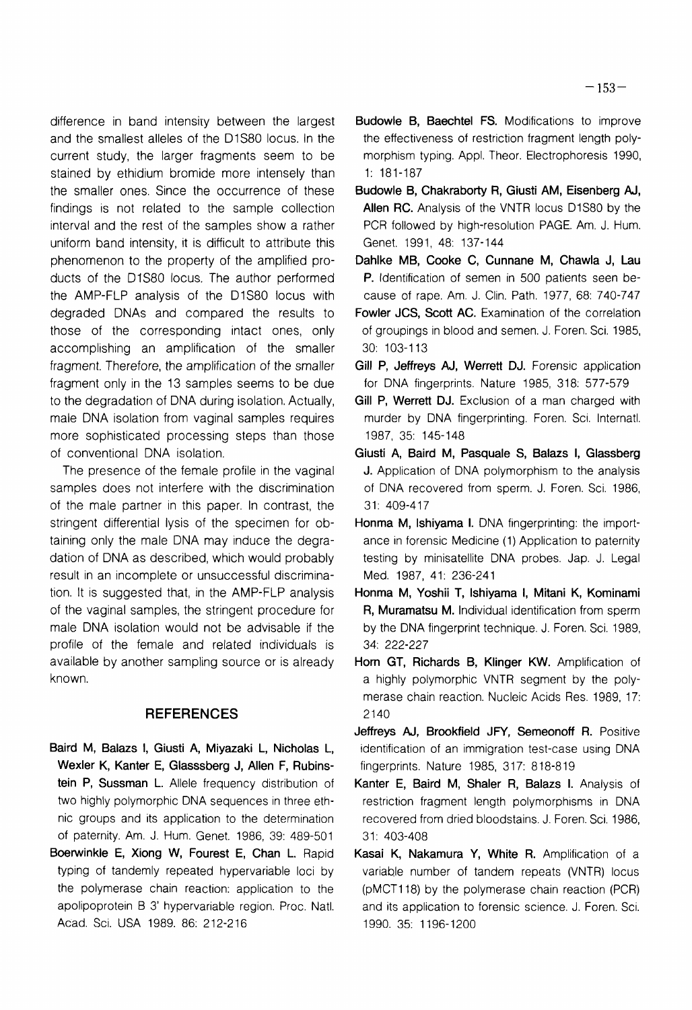difference in band intensiry between the largest and the smallest alleles of the D1S80 locus. In the current study, the larger fragments seem to be stained by ethidium bromide more intensely than the smaller ones. Since the occurrence of these findings is not related to the sample collection interval and the rest of the samples show a rather uniform band intensity, it is difficult to attribute this phenomenon to the property of the amplified products of the D1S80 locus. The author performed the AMP-FLP analysis of the D1S80 locus with degraded DNAs and compared the results to those of the corresponding intact ones, only accomplishing an amplification of the smaller fragment. Therefore, the amplification of the smaller fragment only in the 13 samples seems to be due to the degradation of DNA during isolation. Actually, male DNA isolation from vaginal samples requires more sophisticated processing steps than those of conventional DNA isolation.

The presence of the female profile in the vaginal samples does not interfere with the discrimination of the male partner in this paper. In contrast, the stringent differential lysis of the specimen for obtaining only the male DNA may induce the degradation of DNA as described, which would probably result in an incomplete or unsuccessful discrimination. It is suggested that, in the AMP-FLP analysis of the vaginal samples, the stringent procedure for male DNA isolation would not be advisable if the profile of the female and related individuals is available by another sampling source or is already known.

#### **REFERENCES**

- Baird M, Balazs I, Giusti A, Miyazaki L, Nicholas L, Wexler K, Kanter E, Glasssberg J, Allen F, Rubinstein P, Sussman L. Allele frequency distribution of two highly polymorphic DNA sequences in three ethnic groups and its application to the determination of paternity. Am. J. Ham. Genet. 1986, 39: 489-501
- Boerwinkle E, Xiong W, Fourest E, Chan L. Rapid typing of tandemly repeated hypervariable loci by the polymerase chain reaction: application to the apolipoprotein B 3' hypervariable region. Proc. Natl. Acad. Sci. USA 1989. 86: 212-216
- Budowle B, Baechtel FS. Modifications to improve the effectiveness of restriction fragment length polymorphism typing. Appl. Theor. Electrophoresis 1990, 1: 181-187
- Budowle B, Chakraborty R, Giusti AM, Eisenberg **AJ,**  Allen RC. Analysis of the VNTR locus D1S80 by the PCR followed by high-resolution PAGE. Am. J. Hum. Genet. 1991, 48: 137-144
- Dahlke MB, Cooke C, Cunnane M, Chawla J, Lau P. Identification of semen in 500 patients seen because of rape. Am. J. Clin. Path. 1977, 68: 740-747
- Fowler JCS, Scott AC. Examination of the correlation of groupings in blood and semen. J. Foren. Sci. 1985, 30: 103-113
- Gill P, Jeffreys AJ, Werrett DJ. Forensic application for DNA fingerprints. Nature 1985, 318: 577-579
- Gill P, Werrett DJ. Exclusion of a man charged with murder by DNA fingerprinting. Foren. Sci. Internatl. 1987, 35: 145-148
- Giusti A, Baird M, Pasquale S, Balazs I, Glassberg J. Application of DNA polymorphism to the analysis of DNA recovered from sperm. J. Foren. Sci. 1986, 31: 409-417
- Honma M, lshiyama I. DNA fingerprinting: the importance in forensic Medicine (1) Application to paternity testing by minisatellite DNA probes. Jap. J. Legal Med. 1987, 41: 236-241
- Honma M, Yoshii T, lshiyama I, Mitani K, Kominami R, Muramatsu M. Individual identification from sperm by the DNA fingerprint technique. J. Foren. Sci. 1989, 34: 222-227
- Horn GT, Richards B, Klinger KW. Amplification of a highly polymorphic VNTR segment by the polymerase chain reaction. Nucleic Acids Res. 1989, 17: 2140
- Jeffreys **AJ,** Brookfield JFY, Semeonoff R. Positive identification of an immigration test-case using DNA fingerprints. Nature 1985, 3 17: 8 18-8 19
- Kanter E, Baird M, Shaler R, Balazs I. Analysis of restriction fragment length polymorphisms in DNA recovered from dried bloodstains. J. Foren. Sci. 1986, 31: 403-408
- Kasai K, Nakamura Y, White R. Amplification of a variable number of tandem repeats (VNTR) locus (pMCT118) by the polymerase chain reaction (PCR) and its application to forensic science. J. Foren. Sci. 1990. 35: 1 196-1 200